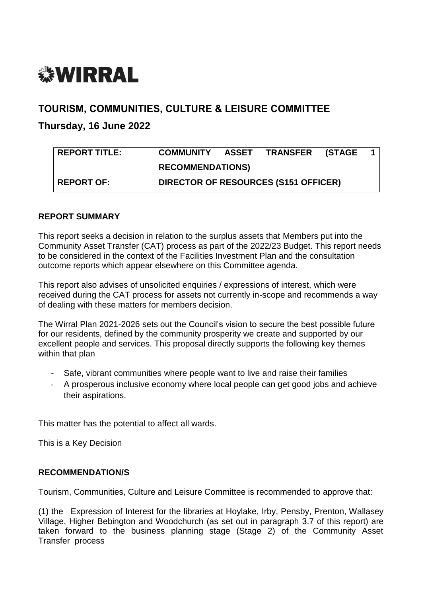# *<b>WIRRAL*

# **TOURISM, COMMUNITIES, CULTURE & LEISURE COMMITTEE**

# **Thursday, 16 June 2022**

| <b>REPORT TITLE:</b> | <b>COMMUNITY</b>                            | ASSET | TRANSFER (STAGE |  |  |  |
|----------------------|---------------------------------------------|-------|-----------------|--|--|--|
|                      | <b>RECOMMENDATIONS)</b>                     |       |                 |  |  |  |
| <b>REPORT OF:</b>    | <b>DIRECTOR OF RESOURCES (S151 OFFICER)</b> |       |                 |  |  |  |

# **REPORT SUMMARY**

This report seeks a decision in relation to the surplus assets that Members put into the Community Asset Transfer (CAT) process as part of the 2022/23 Budget. This report needs to be considered in the context of the Facilities Investment Plan and the consultation outcome reports which appear elsewhere on this Committee agenda.

This report also advises of unsolicited enquiries / expressions of interest, which were received during the CAT process for assets not currently in-scope and recommends a way of dealing with these matters for members decision.

The Wirral Plan 2021-2026 sets out the Council's vision to secure the best possible future for our residents, defined by the community prosperity we create and supported by our excellent people and services. This proposal directly supports the following key themes within that plan

- Safe, vibrant communities where people want to live and raise their families
- A prosperous inclusive economy where local people can get good jobs and achieve their aspirations.

This matter has the potential to affect all wards.

This is a Key Decision

# **RECOMMENDATION/S**

Tourism, Communities, Culture and Leisure Committee is recommended to approve that:

(1) the Expression of Interest for the libraries at Hoylake, Irby, Pensby, Prenton, Wallasey Village, Higher Bebington and Woodchurch (as set out in paragraph 3.7 of this report) are taken forward to the business planning stage (Stage 2) of the Community Asset Transfer process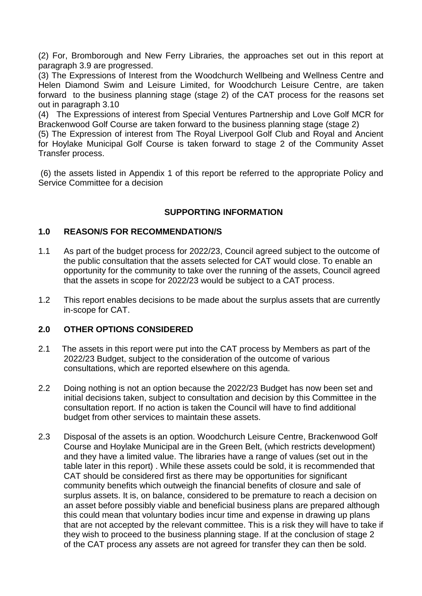(2) For, Bromborough and New Ferry Libraries, the approaches set out in this report at paragraph 3.9 are progressed.

(3) The Expressions of Interest from the Woodchurch Wellbeing and Wellness Centre and Helen Diamond Swim and Leisure Limited, for Woodchurch Leisure Centre, are taken forward to the business planning stage (stage 2) of the CAT process for the reasons set out in paragraph 3.10

(4) The Expressions of interest from Special Ventures Partnership and Love Golf MCR for Brackenwood Golf Course are taken forward to the business planning stage (stage 2)

(5) The Expression of interest from The Royal Liverpool Golf Club and Royal and Ancient for Hoylake Municipal Golf Course is taken forward to stage 2 of the Community Asset Transfer process.

(6) the assets listed in Appendix 1 of this report be referred to the appropriate Policy and Service Committee for a decision

#### **SUPPORTING INFORMATION**

#### **1.0 REASON/S FOR RECOMMENDATION/S**

- 1.1 As part of the budget process for 2022/23, Council agreed subject to the outcome of the public consultation that the assets selected for CAT would close. To enable an opportunity for the community to take over the running of the assets, Council agreed that the assets in scope for 2022/23 would be subject to a CAT process.
- 1.2 This report enables decisions to be made about the surplus assets that are currently in-scope for CAT.

#### **2.0 OTHER OPTIONS CONSIDERED**

- 2.1 The assets in this report were put into the CAT process by Members as part of the 2022/23 Budget, subject to the consideration of the outcome of various consultations, which are reported elsewhere on this agenda.
- 2.2 Doing nothing is not an option because the 2022/23 Budget has now been set and initial decisions taken, subject to consultation and decision by this Committee in the consultation report. If no action is taken the Council will have to find additional budget from other services to maintain these assets.
- 2.3 Disposal of the assets is an option. Woodchurch Leisure Centre, Brackenwood Golf Course and Hoylake Municipal are in the Green Belt, (which restricts development) and they have a limited value. The libraries have a range of values (set out in the table later in this report) . While these assets could be sold, it is recommended that CAT should be considered first as there may be opportunities for significant community benefits which outweigh the financial benefits of closure and sale of surplus assets. It is, on balance, considered to be premature to reach a decision on an asset before possibly viable and beneficial business plans are prepared although this could mean that voluntary bodies incur time and expense in drawing up plans that are not accepted by the relevant committee. This is a risk they will have to take if they wish to proceed to the business planning stage. If at the conclusion of stage 2 of the CAT process any assets are not agreed for transfer they can then be sold.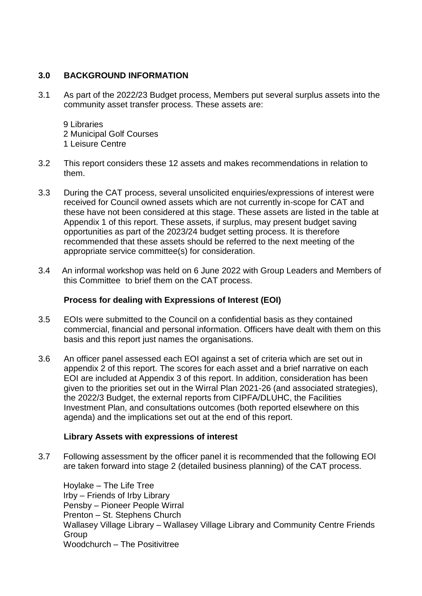## **3.0 BACKGROUND INFORMATION**

- 3.1 As part of the 2022/23 Budget process, Members put several surplus assets into the community asset transfer process. These assets are:
	- 9 Libraries 2 Municipal Golf Courses 1 Leisure Centre
- 3.2 This report considers these 12 assets and makes recommendations in relation to them.
- 3.3 During the CAT process, several unsolicited enquiries/expressions of interest were received for Council owned assets which are not currently in-scope for CAT and these have not been considered at this stage. These assets are listed in the table at Appendix 1 of this report. These assets, if surplus, may present budget saving opportunities as part of the 2023/24 budget setting process. It is therefore recommended that these assets should be referred to the next meeting of the appropriate service committee(s) for consideration.
- 3.4 An informal workshop was held on 6 June 2022 with Group Leaders and Members of this Committee to brief them on the CAT process.

## **Process for dealing with Expressions of Interest (EOI)**

- 3.5 EOIs were submitted to the Council on a confidential basis as they contained commercial, financial and personal information. Officers have dealt with them on this basis and this report just names the organisations.
- 3.6 An officer panel assessed each EOI against a set of criteria which are set out in appendix 2 of this report. The scores for each asset and a brief narrative on each EOI are included at Appendix 3 of this report. In addition, consideration has been given to the priorities set out in the Wirral Plan 2021-26 (and associated strategies), the 2022/3 Budget, the external reports from CIPFA/DLUHC, the Facilities Investment Plan, and consultations outcomes (both reported elsewhere on this agenda) and the implications set out at the end of this report.

#### **Library Assets with expressions of interest**

3.7 Following assessment by the officer panel it is recommended that the following EOI are taken forward into stage 2 (detailed business planning) of the CAT process.

Hoylake – The Life Tree Irby – Friends of Irby Library Pensby – Pioneer People Wirral Prenton – St. Stephens Church Wallasey Village Library – Wallasey Village Library and Community Centre Friends Group Woodchurch – The Positivitree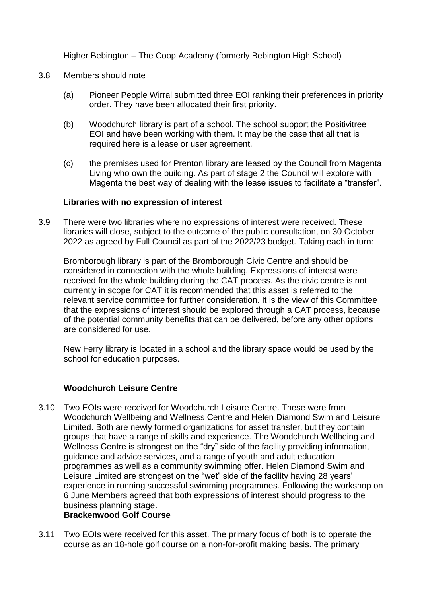Higher Bebington – The Coop Academy (formerly Bebington High School)

- 3.8 Members should note
	- (a) Pioneer People Wirral submitted three EOI ranking their preferences in priority order. They have been allocated their first priority.
	- (b) Woodchurch library is part of a school. The school support the Positivitree EOI and have been working with them. It may be the case that all that is required here is a lease or user agreement.
	- (c) the premises used for Prenton library are leased by the Council from Magenta Living who own the building. As part of stage 2 the Council will explore with Magenta the best way of dealing with the lease issues to facilitate a "transfer".

#### **Libraries with no expression of interest**

3.9 There were two libraries where no expressions of interest were received. These libraries will close, subject to the outcome of the public consultation, on 30 October 2022 as agreed by Full Council as part of the 2022/23 budget. Taking each in turn:

Bromborough library is part of the Bromborough Civic Centre and should be considered in connection with the whole building. Expressions of interest were received for the whole building during the CAT process. As the civic centre is not currently in scope for CAT it is recommended that this asset is referred to the relevant service committee for further consideration. It is the view of this Committee that the expressions of interest should be explored through a CAT process, because of the potential community benefits that can be delivered, before any other options are considered for use.

New Ferry library is located in a school and the library space would be used by the school for education purposes.

#### **Woodchurch Leisure Centre**

3.10 Two EOIs were received for Woodchurch Leisure Centre. These were from Woodchurch Wellbeing and Wellness Centre and Helen Diamond Swim and Leisure Limited. Both are newly formed organizations for asset transfer, but they contain groups that have a range of skills and experience. The Woodchurch Wellbeing and Wellness Centre is strongest on the "dry" side of the facility providing information, guidance and advice services, and a range of youth and adult education programmes as well as a community swimming offer. Helen Diamond Swim and Leisure Limited are strongest on the "wet" side of the facility having 28 years' experience in running successful swimming programmes. Following the workshop on 6 June Members agreed that both expressions of interest should progress to the business planning stage.

## **Brackenwood Golf Course**

3.11 Two EOIs were received for this asset. The primary focus of both is to operate the course as an 18-hole golf course on a non-for-profit making basis. The primary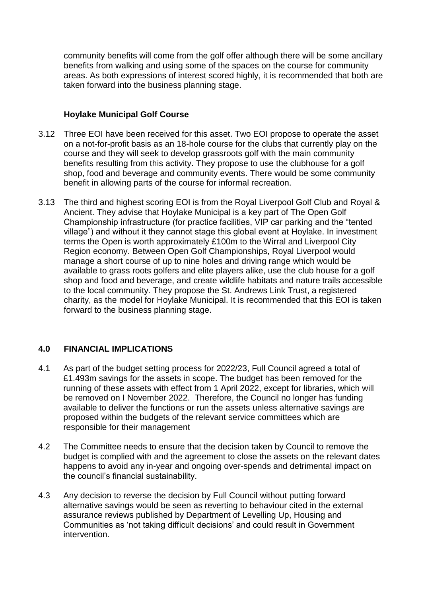community benefits will come from the golf offer although there will be some ancillary benefits from walking and using some of the spaces on the course for community areas. As both expressions of interest scored highly, it is recommended that both are taken forward into the business planning stage.

#### **Hoylake Municipal Golf Course**

- 3.12 Three EOI have been received for this asset. Two EOI propose to operate the asset on a not-for-profit basis as an 18-hole course for the clubs that currently play on the course and they will seek to develop grassroots golf with the main community benefits resulting from this activity. They propose to use the clubhouse for a golf shop, food and beverage and community events. There would be some community benefit in allowing parts of the course for informal recreation.
- 3.13 The third and highest scoring EOI is from the Royal Liverpool Golf Club and Royal & Ancient. They advise that Hoylake Municipal is a key part of The Open Golf Championship infrastructure (for practice facilities, VIP car parking and the "tented village") and without it they cannot stage this global event at Hoylake. In investment terms the Open is worth approximately £100m to the Wirral and Liverpool City Region economy. Between Open Golf Championships, Royal Liverpool would manage a short course of up to nine holes and driving range which would be available to grass roots golfers and elite players alike, use the club house for a golf shop and food and beverage, and create wildlife habitats and nature trails accessible to the local community. They propose the St. Andrews Link Trust, a registered charity, as the model for Hoylake Municipal. It is recommended that this EOI is taken forward to the business planning stage.

# **4.0 FINANCIAL IMPLICATIONS**

- 4.1 As part of the budget setting process for 2022/23, Full Council agreed a total of £1.493m savings for the assets in scope. The budget has been removed for the running of these assets with effect from 1 April 2022, except for libraries, which will be removed on I November 2022. Therefore, the Council no longer has funding available to deliver the functions or run the assets unless alternative savings are proposed within the budgets of the relevant service committees which are responsible for their management
- 4.2 The Committee needs to ensure that the decision taken by Council to remove the budget is complied with and the agreement to close the assets on the relevant dates happens to avoid any in-year and ongoing over-spends and detrimental impact on the council's financial sustainability.
- 4.3 Any decision to reverse the decision by Full Council without putting forward alternative savings would be seen as reverting to behaviour cited in the external assurance reviews published by Department of Levelling Up, Housing and Communities as 'not taking difficult decisions' and could result in Government intervention.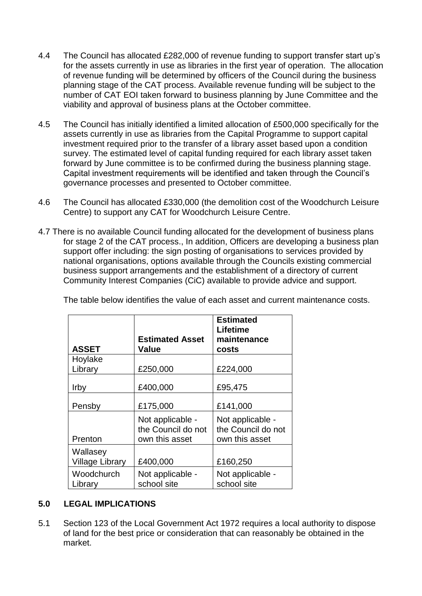- 4.4 The Council has allocated £282,000 of revenue funding to support transfer start up's for the assets currently in use as libraries in the first year of operation. The allocation of revenue funding will be determined by officers of the Council during the business planning stage of the CAT process. Available revenue funding will be subject to the number of CAT EOI taken forward to business planning by June Committee and the viability and approval of business plans at the October committee.
- 4.5 The Council has initially identified a limited allocation of £500,000 specifically for the assets currently in use as libraries from the Capital Programme to support capital investment required prior to the transfer of a library asset based upon a condition survey. The estimated level of capital funding required for each library asset taken forward by June committee is to be confirmed during the business planning stage. Capital investment requirements will be identified and taken through the Council's governance processes and presented to October committee.
- 4.6 The Council has allocated £330,000 (the demolition cost of the Woodchurch Leisure Centre) to support any CAT for Woodchurch Leisure Centre.
- 4.7 There is no available Council funding allocated for the development of business plans for stage 2 of the CAT process., In addition, Officers are developing a business plan support offer including: the sign posting of organisations to services provided by national organisations, options available through the Councils existing commercial business support arrangements and the establishment of a directory of current Community Interest Companies (CiC) available to provide advice and support.

| <b>ASSET</b>                       | <b>Estimated Asset</b><br>Value                          | <b>Estimated</b><br><b>Lifetime</b><br>maintenance<br>costs |
|------------------------------------|----------------------------------------------------------|-------------------------------------------------------------|
| Hoylake<br>Library                 | £250,000                                                 | £224,000                                                    |
| Irby                               | £400,000                                                 | £95,475                                                     |
| Pensby                             | £175,000                                                 | £141,000                                                    |
| Prenton                            | Not applicable -<br>the Council do not<br>own this asset | Not applicable -<br>the Council do not<br>own this asset    |
| Wallasey<br><b>Village Library</b> | £400,000                                                 | £160,250                                                    |
| Woodchurch<br>Library              | Not applicable -<br>school site                          | Not applicable -<br>school site                             |

The table below identifies the value of each asset and current maintenance costs.

# **5.0 LEGAL IMPLICATIONS**

5.1 Section 123 of the Local Government Act 1972 requires a local authority to dispose of land for the best price or consideration that can reasonably be obtained in the market.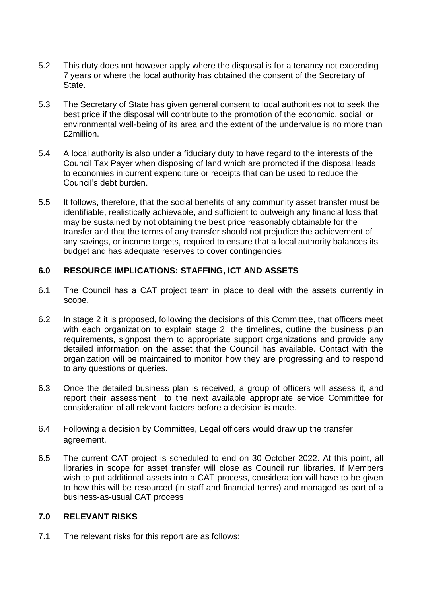- 5.2 This duty does not however apply where the disposal is for a tenancy not exceeding 7 years or where the local authority has obtained the consent of the Secretary of State.
- 5.3 The Secretary of State has given general consent to local authorities not to seek the best price if the disposal will contribute to the promotion of the economic, social or environmental well-being of its area and the extent of the undervalue is no more than £2million.
- 5.4 A local authority is also under a fiduciary duty to have regard to the interests of the Council Tax Payer when disposing of land which are promoted if the disposal leads to economies in current expenditure or receipts that can be used to reduce the Council's debt burden.
- 5.5 It follows, therefore, that the social benefits of any community asset transfer must be identifiable, realistically achievable, and sufficient to outweigh any financial loss that may be sustained by not obtaining the best price reasonably obtainable for the transfer and that the terms of any transfer should not prejudice the achievement of any savings, or income targets, required to ensure that a local authority balances its budget and has adequate reserves to cover contingencies

#### **6.0 RESOURCE IMPLICATIONS: STAFFING, ICT AND ASSETS**

- 6.1 The Council has a CAT project team in place to deal with the assets currently in scope.
- 6.2 In stage 2 it is proposed, following the decisions of this Committee, that officers meet with each organization to explain stage 2, the timelines, outline the business plan requirements, signpost them to appropriate support organizations and provide any detailed information on the asset that the Council has available. Contact with the organization will be maintained to monitor how they are progressing and to respond to any questions or queries.
- 6.3 Once the detailed business plan is received, a group of officers will assess it, and report their assessment to the next available appropriate service Committee for consideration of all relevant factors before a decision is made.
- 6.4 Following a decision by Committee, Legal officers would draw up the transfer agreement.
- 6.5 The current CAT project is scheduled to end on 30 October 2022. At this point, all libraries in scope for asset transfer will close as Council run libraries. If Members wish to put additional assets into a CAT process, consideration will have to be given to how this will be resourced (in staff and financial terms) and managed as part of a business-as-usual CAT process

#### **7.0 RELEVANT RISKS**

7.1 The relevant risks for this report are as follows;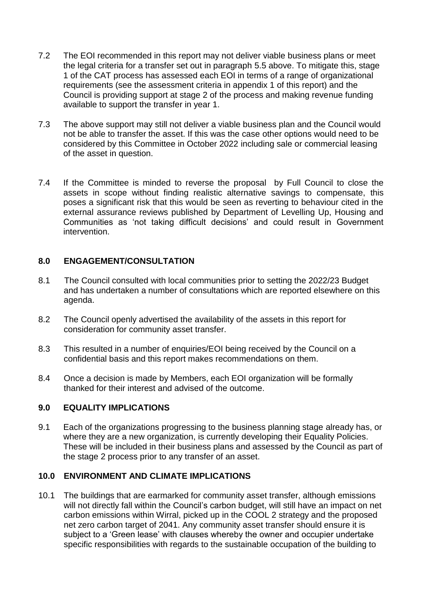- 7.2 The EOI recommended in this report may not deliver viable business plans or meet the legal criteria for a transfer set out in paragraph 5.5 above. To mitigate this, stage 1 of the CAT process has assessed each EOI in terms of a range of organizational requirements (see the assessment criteria in appendix 1 of this report) and the Council is providing support at stage 2 of the process and making revenue funding available to support the transfer in year 1.
- 7.3 The above support may still not deliver a viable business plan and the Council would not be able to transfer the asset. If this was the case other options would need to be considered by this Committee in October 2022 including sale or commercial leasing of the asset in question.
- 7.4 If the Committee is minded to reverse the proposal by Full Council to close the assets in scope without finding realistic alternative savings to compensate, this poses a significant risk that this would be seen as reverting to behaviour cited in the external assurance reviews published by Department of Levelling Up, Housing and Communities as 'not taking difficult decisions' and could result in Government intervention.

#### **8.0 ENGAGEMENT/CONSULTATION**

- 8.1 The Council consulted with local communities prior to setting the 2022/23 Budget and has undertaken a number of consultations which are reported elsewhere on this agenda.
- 8.2 The Council openly advertised the availability of the assets in this report for consideration for community asset transfer.
- 8.3 This resulted in a number of enquiries/EOI being received by the Council on a confidential basis and this report makes recommendations on them.
- 8.4 Once a decision is made by Members, each EOI organization will be formally thanked for their interest and advised of the outcome.

#### **9.0 EQUALITY IMPLICATIONS**

9.1 Each of the organizations progressing to the business planning stage already has, or where they are a new organization, is currently developing their Equality Policies. These will be included in their business plans and assessed by the Council as part of the stage 2 process prior to any transfer of an asset.

#### **10.0 ENVIRONMENT AND CLIMATE IMPLICATIONS**

10.1 The buildings that are earmarked for community asset transfer, although emissions will not directly fall within the Council's carbon budget, will still have an impact on net carbon emissions within Wirral, picked up in the COOL 2 strategy and the proposed net zero carbon target of 2041. Any community asset transfer should ensure it is subject to a 'Green lease' with clauses whereby the owner and occupier undertake specific responsibilities with regards to the sustainable occupation of the building to